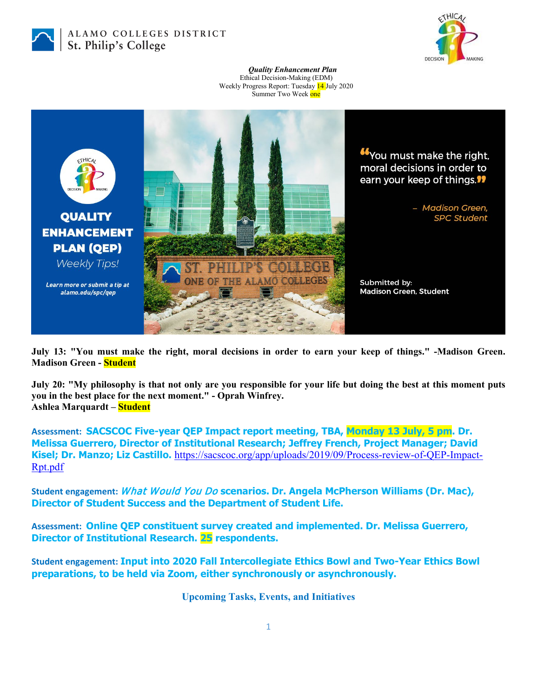

## ALAMO COLLEGES DISTRICT St. Philip's College



*Quality Enhancement Plan* Ethical Decision-Making (EDM) Weekly Progress Report: Tuesday 14 July 2020 Summer Two Week one



**July 13: "You must make the right, moral decisions in order to earn your keep of things." -Madison Green. Madison Green - Student**

**July 20: "My philosophy is that not only are you responsible for your life but doing the best at this moment puts you in the best place for the next moment." - Oprah Winfrey. Ashlea Marquardt – Student**

**Assessment: SACSCOC Five-year QEP Impact report meeting, TBA, Monday 13 July, 5 pm. Dr. Melissa Guerrero, Director of Institutional Research; Jeffrey French, Project Manager; David Kisel; Dr. Manzo; Liz Castillo.** [https://sacscoc.org/app/uploads/2019/09/Process-review-of-QEP-Impact-](https://sacscoc.org/app/uploads/2019/09/Process-review-of-QEP-Impact-Rpt.pdf)[Rpt.pdf](https://sacscoc.org/app/uploads/2019/09/Process-review-of-QEP-Impact-Rpt.pdf)

**Student engagement:** What Would You Do **scenarios. Dr. Angela McPherson Williams (Dr. Mac), Director of Student Success and the Department of Student Life.**

**Assessment: Online QEP constituent survey created and implemented. Dr. Melissa Guerrero, Director of Institutional Research. 25 respondents.**

**Student engagement: Input into 2020 Fall Intercollegiate Ethics Bowl and Two-Year Ethics Bowl preparations, to be held via Zoom, either synchronously or asynchronously.**

**Upcoming Tasks, Events, and Initiatives**